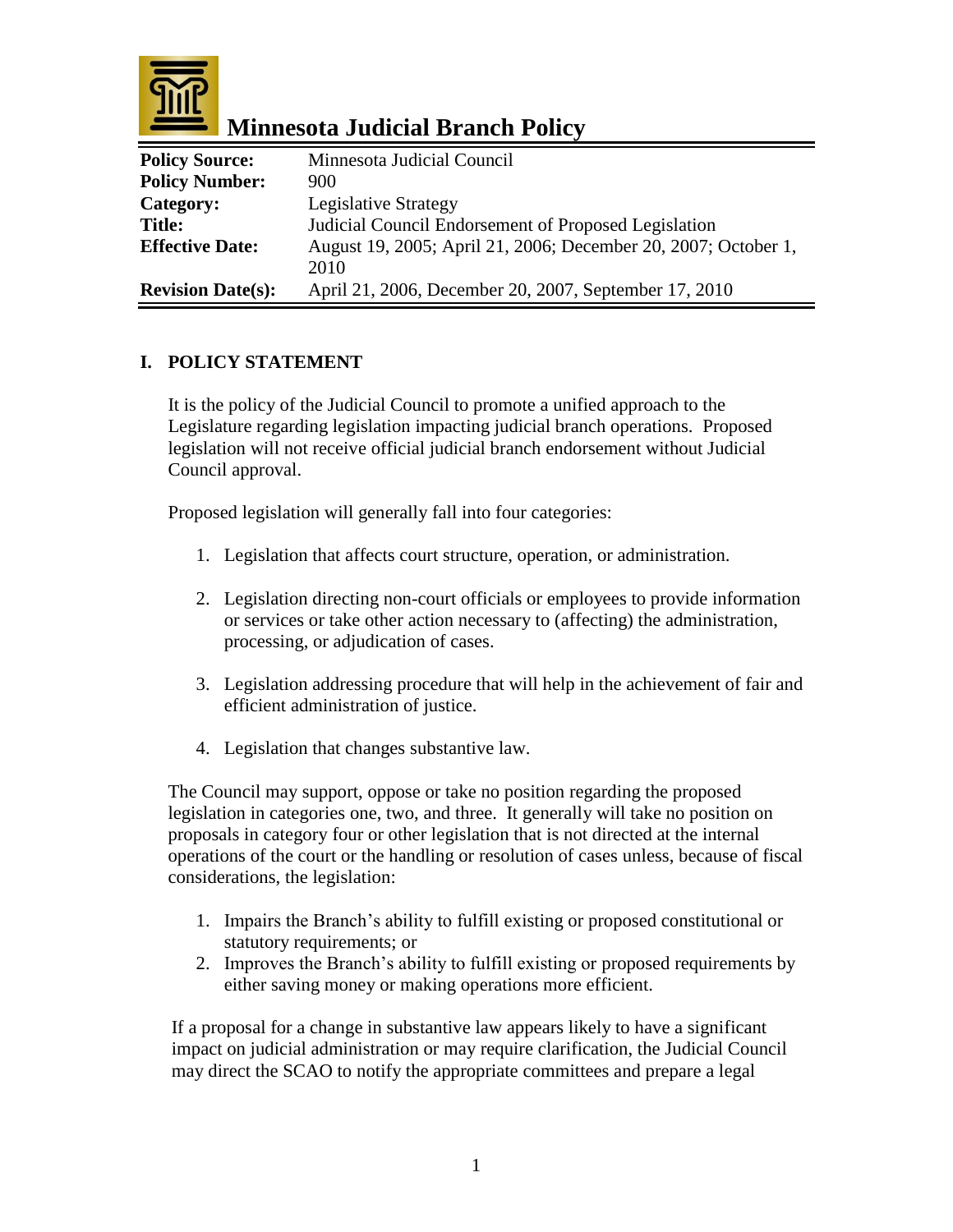

 **Minnesota Judicial Branch Policy**

| <b>Policy Source:</b>    | Minnesota Judicial Council                                     |
|--------------------------|----------------------------------------------------------------|
| <b>Policy Number:</b>    | 900                                                            |
| Category:                | <b>Legislative Strategy</b>                                    |
| <b>Title:</b>            | Judicial Council Endorsement of Proposed Legislation           |
| <b>Effective Date:</b>   | August 19, 2005; April 21, 2006; December 20, 2007; October 1, |
|                          | 2010                                                           |
| <b>Revision Date(s):</b> | April 21, 2006, December 20, 2007, September 17, 2010          |

## **I. POLICY STATEMENT**

It is the policy of the Judicial Council to promote a unified approach to the Legislature regarding legislation impacting judicial branch operations. Proposed legislation will not receive official judicial branch endorsement without Judicial Council approval.

Proposed legislation will generally fall into four categories:

- 1. Legislation that affects court structure, operation, or administration.
- 2. Legislation directing non-court officials or employees to provide information or services or take other action necessary to (affecting) the administration, processing, or adjudication of cases.
- 3. Legislation addressing procedure that will help in the achievement of fair and efficient administration of justice.
- 4. Legislation that changes substantive law.

The Council may support, oppose or take no position regarding the proposed legislation in categories one, two, and three. It generally will take no position on proposals in category four or other legislation that is not directed at the internal operations of the court or the handling or resolution of cases unless, because of fiscal considerations, the legislation:

- 1. Impairs the Branch's ability to fulfill existing or proposed constitutional or statutory requirements; or
- 2. Improves the Branch's ability to fulfill existing or proposed requirements by either saving money or making operations more efficient.

If a proposal for a change in substantive law appears likely to have a significant impact on judicial administration or may require clarification, the Judicial Council may direct the SCAO to notify the appropriate committees and prepare a legal